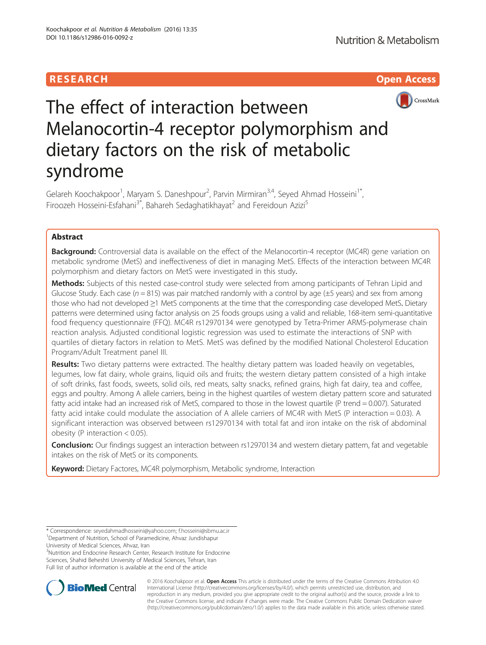## **RESEARCH CHILD CONTROL** CONTROL CONTROL CONTROL CONTROL CONTROL CONTROL CONTROL CONTROL CONTROL CONTROL CONTROL CONTROL CONTROL CONTROL CONTROL CONTROL CONTROL CONTROL CONTROL CONTROL CONTROL CONTROL CONTROL CONTROL CONTR



# The effect of interaction between Melanocortin-4 receptor polymorphism and dietary factors on the risk of metabolic syndrome

Gelareh Koochakpoor<sup>1</sup>, Maryam S. Daneshpour<sup>2</sup>, Parvin Mirmiran<sup>3,4</sup>, Seyed Ahmad Hosseini<sup>1\*</sup>, Firoozeh Hosseini-Esfahani<sup>3\*</sup>, Bahareh Sedaghatikhayat<sup>2</sup> and Fereidoun Azizi<sup>5</sup>

## Abstract

**Background:** Controversial data is available on the effect of the Melanocortin-4 receptor (MC4R) gene variation on metabolic syndrome (MetS) and ineffectiveness of diet in managing MetS. Effects of the interaction between MC4R polymorphism and dietary factors on MetS were investigated in this study.

Methods: Subjects of this nested case-control study were selected from among participants of Tehran Lipid and Glucose Study. Each case ( $n = 815$ ) was pair matched randomly with a control by age ( $\pm 5$  years) and sex from among those who had not developed ≥1 MetS components at the time that the corresponding case developed MetS. Dietary patterns were determined using factor analysis on 25 foods groups using a valid and reliable, 168-item semi-quantitative food frequency questionnaire (FFQ). MC4R rs12970134 were genotyped by Tetra-Primer ARMS-polymerase chain reaction analysis. Adjusted conditional logistic regression was used to estimate the interactions of SNP with quartiles of dietary factors in relation to MetS. MetS was defined by the modified National Cholesterol Education Program/Adult Treatment panel III.

Results: Two dietary patterns were extracted. The healthy dietary pattern was loaded heavily on vegetables, legumes, low fat dairy, whole grains, liquid oils and fruits; the western dietary pattern consisted of a high intake of soft drinks, fast foods, sweets, solid oils, red meats, salty snacks, refined grains, high fat dairy, tea and coffee, eggs and poultry. Among A allele carriers, being in the highest quartiles of western dietary pattern score and saturated fatty acid intake had an increased risk of MetS, compared to those in the lowest quartile (P trend = 0.007). Saturated fatty acid intake could modulate the association of A allele carriers of MC4R with MetS (P interaction = 0.03). A significant interaction was observed between rs12970134 with total fat and iron intake on the risk of abdominal obesity (P interaction < 0.05).

Conclusion: Our findings suggest an interaction between rs12970134 and western dietary pattern, fat and vegetable intakes on the risk of MetS or its components.

Keyword: Dietary Factores, MC4R polymorphism, Metabolic syndrome, Interaction

University of Medical Sciences, Ahvaz, Iran

<sup>3</sup>Nutrition and Endocrine Research Center, Research Institute for Endocrine Sciences, Shahid Beheshti University of Medical Sciences, Tehran, Iran Full list of author information is available at the end of the article



© 2016 Koochakpoor et al. Open Access This article is distributed under the terms of the Creative Commons Attribution 4.0 International License [\(http://creativecommons.org/licenses/by/4.0/](http://creativecommons.org/licenses/by/4.0/)), which permits unrestricted use, distribution, and reproduction in any medium, provided you give appropriate credit to the original author(s) and the source, provide a link to the Creative Commons license, and indicate if changes were made. The Creative Commons Public Domain Dedication waiver [\(http://creativecommons.org/publicdomain/zero/1.0/](http://creativecommons.org/publicdomain/zero/1.0/)) applies to the data made available in this article, unless otherwise stated.

<sup>\*</sup> Correspondence: [seyedahmadhosseini@yahoo.com](mailto:seyedahmadhosseini@yahoo.com); [f.hosseini@sbmu.ac.ir](mailto:f.hosseini@sbmu.ac.ir) <sup>1</sup> <sup>1</sup>Department of Nutrition, School of Paramedicine, Ahvaz Jundishapur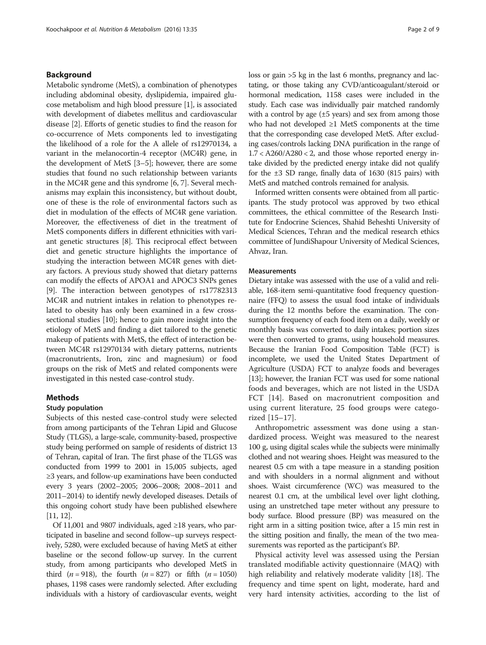## Background

Metabolic syndrome (MetS), a combination of phenotypes including abdominal obesity, dyslipidemia, impaired glucose metabolism and high blood pressure [\[1](#page-8-0)], is associated with development of diabetes mellitus and cardiovascular disease [[2](#page-8-0)]. Efforts of genetic studies to find the reason for co-occurrence of Mets components led to investigating the likelihood of a role for the A allele of rs12970134, a variant in the melanocortin-4 receptor (MC4R) gene, in the development of MetS [\[3](#page-8-0)–[5\]](#page-8-0); however, there are some studies that found no such relationship between variants in the MC4R gene and this syndrome [\[6, 7](#page-8-0)]. Several mechanisms may explain this inconsistency, but without doubt, one of these is the role of environmental factors such as diet in modulation of the effects of MC4R gene variation. Moreover, the effectiveness of diet in the treatment of MetS components differs in different ethnicities with variant genetic structures [[8](#page-8-0)]. This reciprocal effect between diet and genetic structure highlights the importance of studying the interaction between MC4R genes with dietary factors. A previous study showed that dietary patterns can modify the effects of APOA1 and APOC3 SNPs genes [[9\]](#page-8-0). The interaction between genotypes of rs17782313 MC4R and nutrient intakes in relation to phenotypes related to obesity has only been examined in a few crosssectional studies [[10](#page-8-0)]; hence to gain more insight into the etiology of MetS and finding a diet tailored to the genetic makeup of patients with MetS, the effect of interaction between MC4R rs12970134 with dietary patterns, nutrients (macronutrients, Iron, zinc and magnesium) or food groups on the risk of MetS and related components were investigated in this nested case-control study.

## Methods

## Study population

Subjects of this nested case-control study were selected from among participants of the Tehran Lipid and Glucose Study (TLGS), a large-scale, community-based, prospective study being performed on sample of residents of district 13 of Tehran, capital of Iran. The first phase of the TLGS was conducted from 1999 to 2001 in 15,005 subjects, aged ≥3 years, and follow-up examinations have been conducted every 3 years (2002–2005; 2006–2008; 2008–2011 and 2011–2014) to identify newly developed diseases. Details of this ongoing cohort study have been published elsewhere [[11](#page-8-0), [12](#page-8-0)].

Of 11,001 and 9807 individuals, aged ≥18 years, who participated in baseline and second follow–up surveys respectively, 5280, were excluded because of having MetS at either baseline or the second follow-up survey. In the current study, from among participants who developed MetS in third (*n* = 918), the fourth (*n* = 827) or fifth (*n* = 1050) phases, 1198 cases were randomly selected. After excluding individuals with a history of cardiovascular events, weight loss or gain >5 kg in the last 6 months, pregnancy and lactating, or those taking any CVD/anticoagulant/steroid or hormonal medication, 1158 cases were included in the study. Each case was individually pair matched randomly with a control by age  $(\pm 5 \text{ years})$  and sex from among those who had not developed ≥1 MetS components at the time that the corresponding case developed MetS. After excluding cases/controls lacking DNA purification in the range of  $1.7 < A260/A280 < 2$ , and those whose reported energy intake divided by the predicted energy intake did not qualify for the ±3 SD range, finally data of 1630 (815 pairs) with MetS and matched controls remained for analysis.

Informed written consents were obtained from all participants. The study protocol was approved by two ethical committees, the ethical committee of the Research Institute for Endocrine Sciences, Shahid Beheshti University of Medical Sciences, Tehran and the medical research ethics committee of JundiShapour University of Medical Sciences, Ahvaz, Iran.

## Measurements

Dietary intake was assessed with the use of a valid and reliable, 168-item semi-quantitative food frequency questionnaire (FFQ) to assess the usual food intake of individuals during the 12 months before the examination. The consumption frequency of each food item on a daily, weekly or monthly basis was converted to daily intakes; portion sizes were then converted to grams, using household measures. Because the Iranian Food Composition Table (FCT) is incomplete, we used the United States Department of Agriculture (USDA) FCT to analyze foods and beverages [[13](#page-8-0)]; however, the Iranian FCT was used for some national foods and beverages, which are not listed in the USDA FCT [[14](#page-8-0)]. Based on macronutrient composition and using current literature, 25 food groups were categorized [[15](#page-8-0)–[17\]](#page-8-0).

Anthropometric assessment was done using a standardized process. Weight was measured to the nearest 100 g, using digital scales while the subjects were minimally clothed and not wearing shoes. Height was measured to the nearest 0.5 cm with a tape measure in a standing position and with shoulders in a normal alignment and without shoes. Waist circumference (WC) was measured to the nearest 0.1 cm, at the umbilical level over light clothing, using an unstretched tape meter without any pressure to body surface. Blood pressure (BP) was measured on the right arm in a sitting position twice, after a 15 min rest in the sitting position and finally, the mean of the two measurements was reported as the participant's BP.

Physical activity level was assessed using the Persian translated modifiable activity questionnaire (MAQ) with high reliability and relatively moderate validity [[18](#page-8-0)]. The frequency and time spent on light, moderate, hard and very hard intensity activities, according to the list of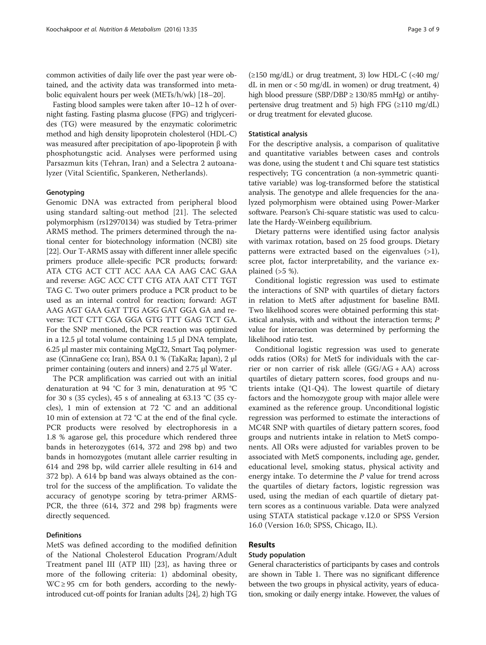common activities of daily life over the past year were obtained, and the activity data was transformed into metabolic equivalent hours per week (METs/h/wk) [[18](#page-8-0)–[20\]](#page-8-0).

Fasting blood samples were taken after 10–12 h of overnight fasting. Fasting plasma glucose (FPG) and triglycerides (TG) were measured by the enzymatic colorimetric method and high density lipoprotein cholesterol (HDL-C) was measured after precipitation of apo-lipoprotein β with phosphotungstic acid. Analyses were performed using Parsazmun kits (Tehran, Iran) and a Selectra 2 autoanalyzer (Vital Scientific, Spankeren, Netherlands).

#### Genotyping

Genomic DNA was extracted from peripheral blood using standard salting-out method [\[21](#page-8-0)]. The selected polymorphism (rs12970134) was studied by Tetra-primer ARMS method. The primers determined through the national center for biotechnology information (NCBI) site [[22](#page-8-0)]. Our T-ARMS assay with different inner allele specific primers produce allele-specific PCR products; forward: ATA CTG ACT CTT ACC AAA CA AAG CAC GAA and reverse: AGC ACC CTT CTG ATA AAT CTT TGT TAG C. Two outer primers produce a PCR product to be used as an internal control for reaction; forward: AGT AAG AGT GAA GAT TTG AGG GAT GGA GA and reverse: TCT CTT CGA GGA GTG TTT GAG TCT GA. For the SNP mentioned, the PCR reaction was optimized in a 12.5 μl total volume containing 1.5 μl DNA template, 6.25 μl master mix containing MgCl2, Smart Taq polymerase (CinnaGene co; Iran), BSA 0.1 % (TaKaRa; Japan), 2 μl primer containing (outers and inners) and 2.75 μl Water.

The PCR amplification was carried out with an initial denaturation at 94 °C for 3 min, denaturation at 95 °C for 30 s (35 cycles), 45 s of annealing at 63.13 °C (35 cycles), 1 min of extension at 72 °C and an additional 10 min of extension at 72 °C at the end of the final cycle. PCR products were resolved by electrophoresis in a 1.8 % agarose gel, this procedure which rendered three bands in heterozygotes (614, 372 and 298 bp) and two bands in homozygotes (mutant allele carrier resulting in 614 and 298 bp, wild carrier allele resulting in 614 and 372 bp). A 614 bp band was always obtained as the control for the success of the amplification. To validate the accuracy of genotype scoring by tetra-primer ARMS-PCR, the three (614, 372 and 298 bp) fragments were directly sequenced.

## **Definitions**

MetS was defined according to the modified definition of the National Cholesterol Education Program/Adult Treatment panel III (ATP III) [\[23](#page-8-0)], as having three or more of the following criteria: 1) abdominal obesity,  $WC \ge 95$  cm for both genders, according to the newlyintroduced cut-off points for Iranian adults [\[24\]](#page-8-0), 2) high TG

#### Statistical analysis

For the descriptive analysis, a comparison of qualitative and quantitative variables between cases and controls was done, using the student t and Chi square test statistics respectively; TG concentration (a non-symmetric quantitative variable) was log-transformed before the statistical analysis. The genotype and allele frequencies for the analyzed polymorphism were obtained using Power-Marker software. Pearson's Chi-square statistic was used to calculate the Hardy-Weinberg equilibrium.

Dietary patterns were identified using factor analysis with varimax rotation, based on 25 food groups. Dietary patterns were extracted based on the eigenvalues  $(>1)$ , scree plot, factor interpretability, and the variance explained  $(55 \%)$ .

Conditional logistic regression was used to estimate the interactions of SNP with quartiles of dietary factors in relation to MetS after adjustment for baseline BMI. Two likelihood scores were obtained performing this statistical analysis, with and without the interaction terms; P value for interaction was determined by performing the likelihood ratio test.

Conditional logistic regression was used to generate odds ratios (ORs) for MetS for individuals with the carrier or non carrier of risk allele (GG/AG + AA) across quartiles of dietary pattern scores, food groups and nutrients intake (Q1-Q4). The lowest quartile of dietary factors and the homozygote group with major allele were examined as the reference group. Unconditional logistic regression was performed to estimate the interactions of MC4R SNP with quartiles of dietary pattern scores, food groups and nutrients intake in relation to MetS components. All ORs were adjusted for variables proven to be associated with MetS components, including age, gender, educational level, smoking status, physical activity and energy intake. To determine the  $P$  value for trend across the quartiles of dietary factors, logistic regression was used, using the median of each quartile of dietary pattern scores as a continuous variable. Data were analyzed using STATA statistical package v.12.0 or SPSS Version 16.0 (Version 16.0; SPSS, Chicago, IL).

## Results

## Study population

General characteristics of participants by cases and controls are shown in Table [1](#page-3-0). There was no significant difference between the two groups in physical activity, years of education, smoking or daily energy intake. However, the values of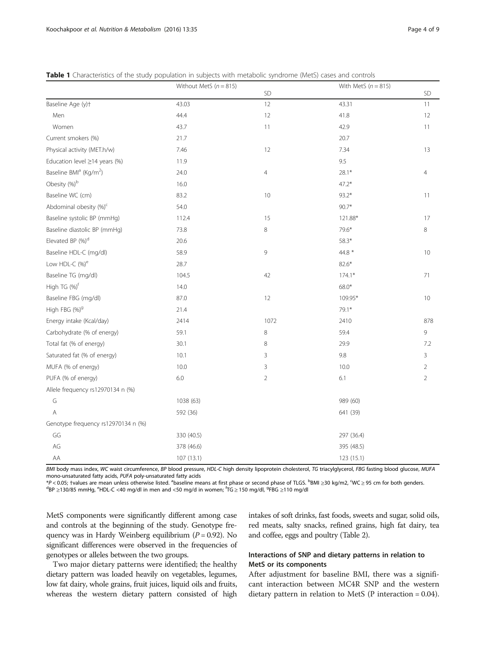|                                                | Without MetS $(n = 815)$ |                | With MetS $(n = 815)$ |                |
|------------------------------------------------|--------------------------|----------------|-----------------------|----------------|
|                                                |                          | <b>SD</b>      |                       | <b>SD</b>      |
| Baseline Age (y)t                              | 43.03                    | 12             | 43.31                 | 11             |
| Men                                            | 44.4                     | 12             | 41.8                  | 12             |
| Women                                          | 43.7                     | 11             | 42.9                  | 11             |
| Current smokers (%)                            | 21.7                     |                | 20.7                  |                |
| Physical activity (MET.h/w)                    | 7.46                     | 12             | 7.34                  | 13             |
| Education level $\geq$ 14 years (%)            | 11.9                     |                | 9.5                   |                |
| Baseline BMI <sup>a</sup> (Kg/m <sup>2</sup> ) | 24.0                     | $\overline{4}$ | $28.1*$               | $\overline{4}$ |
| Obesity (%) <sup>b</sup>                       | 16.0                     |                | $47.2*$               |                |
| Baseline WC (cm)                               | 83.2                     | 10             | $93.2*$               | 11             |
| Abdominal obesity (%) <sup>c</sup>             | 54.0                     |                | $90.7*$               |                |
| Baseline systolic BP (mmHg)                    | 112.4                    | 15             | 121.88*               | 17             |
| Baseline diastolic BP (mmHg)                   | 73.8                     | 8              | 79.6*                 | 8              |
| Elevated BP (%) <sup>d</sup>                   | 20.6                     |                | 58.3*                 |                |
| Baseline HDL-C (mg/dl)                         | 58.9                     | 9              | 44.8 *                | 10             |
| Low HDL-C (%) <sup>e</sup>                     | 28.7                     |                | $82.6*$               |                |
| Baseline TG (mg/dl)                            | 104.5                    | 42             | $174.1*$              | 71             |
| High TG (%) <sup>f</sup>                       | 14.0                     |                | $68.0*$               |                |
| Baseline FBG (mg/dl)                           | 87.0                     | 12             | 109.95*               | 10             |
| High FBG (%) <sup>9</sup>                      | 21.4                     |                | 79.1*                 |                |
| Energy intake (Kcal/day)                       | 2414                     | 1072           | 2410                  | 878            |
| Carbohydrate (% of energy)                     | 59.1                     | 8              | 59.4                  | 9              |
| Total fat (% of energy)                        | 30.1                     | 8              | 29.9                  | 7.2            |
| Saturated fat (% of energy)                    | 10.1                     | 3              | 9.8                   | 3              |
| MUFA (% of energy)                             | 10.0                     | 3              | 10.0                  | $\overline{2}$ |
| PUFA (% of energy)                             | $6.0\,$                  | $\overline{2}$ | 6.1                   | $\overline{2}$ |
| Allele frequency rs12970134 n (%)              |                          |                |                       |                |
| G                                              | 1038 (63)                |                | 989 (60)              |                |
| $\overline{A}$                                 | 592 (36)                 |                | 641 (39)              |                |
| Genotype frequency rs12970134 n (%)            |                          |                |                       |                |
| GG                                             | 330 (40.5)               |                | 297 (36.4)            |                |
| AG                                             | 378 (46.6)               |                | 395 (48.5)            |                |
| AA                                             | 107 (13.1)               |                | 123 (15.1)            |                |

<span id="page-3-0"></span>

| <b>Table 1</b> Characteristics of the study population in subjects with metabolic syndrome (MetS) cases and controls |
|----------------------------------------------------------------------------------------------------------------------|
|----------------------------------------------------------------------------------------------------------------------|

BMI body mass index, WC waist circumference, BP blood pressure, HDL-C high density lipoprotein cholesterol, TG triacylglycerol, FBG fasting blood glucose, MUFA mono-unsaturated fatty acids, PUFA poly-unsaturated fatty acids

\*P < 0.05; †values are mean unless otherwise listed. <sup>a</sup>baseline means at first phase or second phase of TLGS. <sup>b</sup>BMI ≥30 kg/m2, °WC ≥ 95 cm for both genders.<br><sup>d</sup>BP >130/85 mmHg <sup>e</sup>HDL-C <40 mg/dl in men and <50 mg/d in w BP ≥130/85 mmHg, <sup>e</sup>HDL-C <40 mg/dl in men and <50 mg/d in women; <sup>f</sup>TG ≥ 150 mg/dl, <sup>g</sup>FBG ≥110 mg/dl

MetS components were significantly different among case and controls at the beginning of the study. Genotype frequency was in Hardy Weinberg equilibrium ( $P = 0.92$ ). No significant differences were observed in the frequencies of genotypes or alleles between the two groups.

Two major dietary patterns were identified; the healthy dietary pattern was loaded heavily on vegetables, legumes, low fat dairy, whole grains, fruit juices, liquid oils and fruits, whereas the western dietary pattern consisted of high

intakes of soft drinks, fast foods, sweets and sugar, solid oils, red meats, salty snacks, refined grains, high fat dairy, tea and coffee, eggs and poultry (Table [2](#page-4-0)).

## Interactions of SNP and dietary patterns in relation to MetS or its components

After adjustment for baseline BMI, there was a significant interaction between MC4R SNP and the western dietary pattern in relation to MetS (P interaction = 0.04).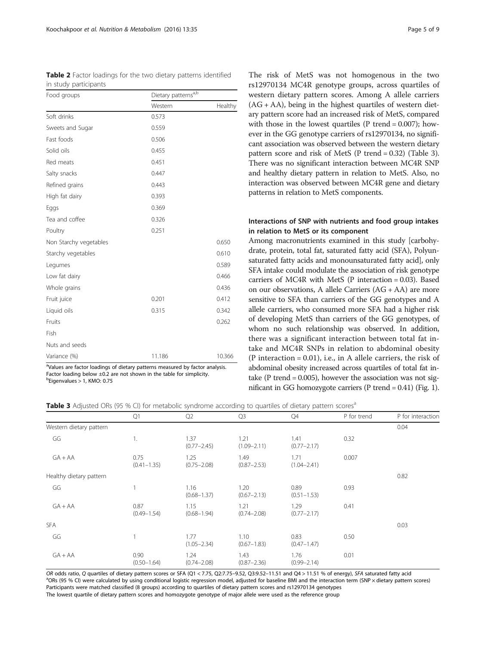<span id="page-4-0"></span>

|                       |  |  |  | <b>Table 2</b> Factor loadings for the two dietary patterns identified |
|-----------------------|--|--|--|------------------------------------------------------------------------|
| in study participants |  |  |  |                                                                        |

| Food groups            | Dietary patterns <sup>a,b</sup> |         |
|------------------------|---------------------------------|---------|
|                        | Western                         | Healthy |
| Soft drinks            | 0.573                           |         |
| Sweets and Sugar       | 0.559                           |         |
| Fast foods             | 0.506                           |         |
| Solid oils             | 0.455                           |         |
| Red meats              | 0.451                           |         |
| Salty snacks           | 0.447                           |         |
| Refined grains         | 0.443                           |         |
| High fat dairy         | 0.393                           |         |
| Eggs                   | 0.369                           |         |
| Tea and coffee         | 0.326                           |         |
| Poultry                | 0.251                           |         |
| Non Starchy vegetables |                                 | 0.650   |
| Starchy vegetables     |                                 | 0.610   |
| Legumes                |                                 | 0.589   |
| Low fat dairy          |                                 | 0.466   |
| Whole grains           |                                 | 0.436   |
| Fruit juice            | 0.201                           | 0.412   |
| Liquid oils            | 0.315                           | 0.342   |
| Fruits                 |                                 | 0.262   |
| Fish                   |                                 |         |
| Nuts and seeds         |                                 |         |
| Variance (%)           | 11.186                          | 10.366  |

<sup>a</sup>Values are factor loadings of dietary patterns measured by factor analysis. Factor loading below  $\pm 0.2$  are not shown in the table for simplicity. <sup>b</sup>Eigenvalues > 1, KMO: 0.75

The risk of MetS was not homogenous in the two rs12970134 MC4R genotype groups, across quartiles of western dietary pattern scores. Among A allele carriers  $(AG + AA)$ , being in the highest quartiles of western dietary pattern score had an increased risk of MetS, compared with those in the lowest quartiles ( $P$  trend = 0.007); however in the GG genotype carriers of rs12970134, no significant association was observed between the western dietary pattern score and risk of MetS (P trend = 0.32) (Table 3). There was no significant interaction between MC4R SNP and healthy dietary pattern in relation to MetS. Also, no interaction was observed between MC4R gene and dietary patterns in relation to MetS components.

## Interactions of SNP with nutrients and food group intakes in relation to MetS or its component

Among macronutrients examined in this study [carbohydrate, protein, total fat, saturated fatty acid (SFA), Polyunsaturated fatty acids and monounsaturated fatty acid], only SFA intake could modulate the association of risk genotype carriers of MC4R with MetS (P interaction = 0.03). Based on our observations, A allele Carriers (AG + AA) are more sensitive to SFA than carriers of the GG genotypes and A allele carriers, who consumed more SFA had a higher risk of developing MetS than carriers of the GG genotypes, of whom no such relationship was observed. In addition, there was a significant interaction between total fat intake and MC4R SNPs in relation to abdominal obesity  $(P$  interaction = 0.01), i.e., in A allele carriers, the risk of abdominal obesity increased across quartiles of total fat intake ( $P$  trend = 0.005), however the association was not significant in GG homozygote carriers (P trend = 0.41) (Fig. [1](#page-5-0)).

|  | Table 3 Adjusted ORs (95 % CI) for metabolic syndrome according to quartiles of dietary pattern scores <sup>a</sup> |  |
|--|---------------------------------------------------------------------------------------------------------------------|--|
|--|---------------------------------------------------------------------------------------------------------------------|--|

|                         | Q1                      | Q <sub>2</sub>          | Q <sub>3</sub>          | Q4                      | P for trend | P for interaction |
|-------------------------|-------------------------|-------------------------|-------------------------|-------------------------|-------------|-------------------|
| Western dietary pattern |                         |                         |                         |                         |             | 0.04              |
| GG                      | 1.                      | 1.37<br>$(0.77 - 2.45)$ | 1.21<br>$(1.09 - 2.11)$ | 1.41<br>$(0.77 - 2.17)$ | 0.32        |                   |
| $GA+AA$                 | 0.75<br>$(0.41 - 1.35)$ | 1.25<br>$(0.75 - 2.08)$ | 1.49<br>$(0.87 - 2.53)$ | 1.71<br>$(1.04 - 2.41)$ | 0.007       |                   |
| Healthy dietary pattern |                         |                         |                         |                         |             | 0.82              |
| GG                      |                         | 1.16<br>$(0.68 - 1.37)$ | 1.20<br>$(0.67 - 2.13)$ | 0.89<br>$(0.51 - 1.53)$ | 0.93        |                   |
| $GA+AA$                 | 0.87<br>$(0.49 - 1.54)$ | 1.15<br>$(0.68 - 1.94)$ | 1.21<br>$(0.74 - 2.08)$ | 1.29<br>$(0.77 - 2.17)$ | 0.41        |                   |
| <b>SFA</b>              |                         |                         |                         |                         |             | 0.03              |
| GG                      |                         | 1.77<br>$(1.05 - 2.34)$ | 1.10<br>$(0.67 - 1.83)$ | 0.83<br>$(0.47 - 1.47)$ | 0.50        |                   |
| $GA+AA$                 | 0.90<br>$(0.50 - 1.64)$ | 1.24<br>$(0.74 - 2.08)$ | 1.43<br>$(0.87 - 2.36)$ | 1.76<br>$(0.99 - 2.14)$ | 0.01        |                   |

OR odds ratio, Q quartiles of dietary pattern scores or SFA (Q1 < 7.75, Q2:7.75-9.52, Q3:9.52-11.51 and Q4 > 11.51 % of energy), SFA saturated fatty acid <sup>a</sup>ORs (95 % CI) were calculated by using conditional logistic regression model, adjusted for baseline BMI and the interaction term (SNP × dietary pattern scores) Participants were matched classified (8 groups) according to quartiles of dietary pattern scores and rs12970134 genotypes The lowest quartile of dietary pattern scores and homozygote genotype of major allele were used as the reference group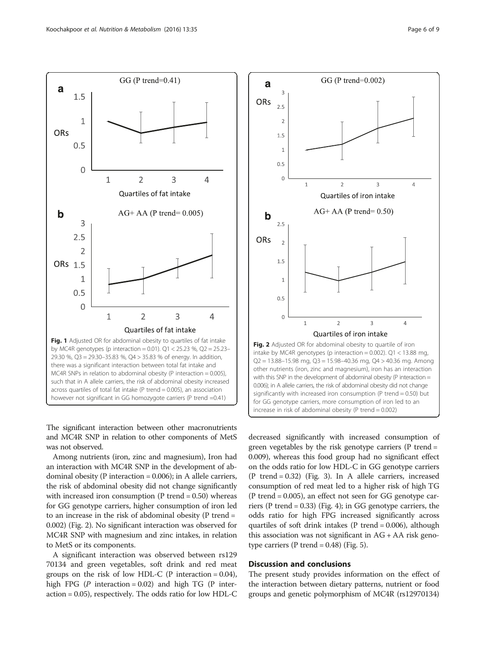<span id="page-5-0"></span>

The significant interaction between other macronutrients and MC4R SNP in relation to other components of MetS was not observed.

Among nutrients (iron, zinc and magnesium), Iron had an interaction with MC4R SNP in the development of abdominal obesity (P interaction = 0.006); in A allele carriers, the risk of abdominal obesity did not change significantly with increased iron consumption  $(P \text{ trend} = 0.50)$  whereas for GG genotype carriers, higher consumption of iron led to an increase in the risk of abdominal obesity (P trend = 0.002) (Fig. 2). No significant interaction was observed for MC4R SNP with magnesium and zinc intakes, in relation to MetS or its components.

A significant interaction was observed between rs129 70134 and green vegetables, soft drink and red meat groups on the risk of low HDL-C ( $P$  interaction = 0.04), high FPG (P interaction = 0.02) and high TG (P interaction = 0.05), respectively. The odds ratio for low HDL-C



decreased significantly with increased consumption of green vegetables by the risk genotype carriers (P trend = 0.009), whereas this food group had no significant effect on the odds ratio for low HDL-C in GG genotype carriers (P trend = 0.32) (Fig. [3\)](#page-6-0). In A allele carriers, increased consumption of red meat led to a higher risk of high TG (P trend = 0.005), an effect not seen for GG genotype carriers (P trend = 0.33) (Fig. [4](#page-6-0)); in GG genotype carriers, the odds ratio for high FPG increased significantly across quartiles of soft drink intakes ( $P$  trend = 0.006), although this association was not significant in  $AG + AA$  risk genotype carriers ( $P$  trend = 0.48) (Fig. [5\)](#page-7-0).

## Discussion and conclusions

The present study provides information on the effect of the interaction between dietary patterns, nutrient or food groups and genetic polymorphism of MC4R (rs12970134)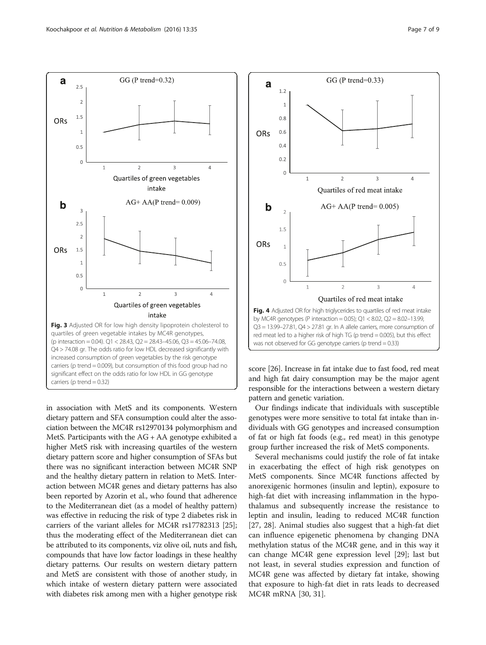<span id="page-6-0"></span>a



GG (P trend= $0.32$ )

quartiles of green vegetable intakes by MC4R genotypes, (p interaction = 0.04). Q1 < 28.43, Q2 = 28.43–45.06, Q3 = 45.06–74.08, Q4 > 74.08 gr. The odds ratio for low HDL decreased significantly with increased consumption of green vegetables by the risk genotype carriers (p trend = 0.009), but consumption of this food group had no significant effect on the odds ratio for low HDL in GG genotype carriers ( $p$  trend = 0.32)

in association with MetS and its components. Western dietary pattern and SFA consumption could alter the association between the MC4R rs12970134 polymorphism and MetS. Participants with the AG + AA genotype exhibited a higher MetS risk with increasing quartiles of the western dietary pattern score and higher consumption of SFAs but there was no significant interaction between MC4R SNP and the healthy dietary pattern in relation to MetS. Interaction between MC4R genes and dietary patterns has also been reported by Azorin et al., who found that adherence to the Mediterranean diet (as a model of healthy pattern) was effective in reducing the risk of type 2 diabetes risk in carriers of the variant alleles for MC4R rs17782313 [[25](#page-8-0)]; thus the moderating effect of the Mediterranean diet can be attributed to its components, viz olive oil, nuts and fish, compounds that have low factor loadings in these healthy dietary patterns. Our results on western dietary pattern and MetS are consistent with those of another study, in which intake of western dietary pattern were associated with diabetes risk among men with a higher genotype risk



score [\[26](#page-8-0)]. Increase in fat intake due to fast food, red meat and high fat dairy consumption may be the major agent responsible for the interactions between a western dietary pattern and genetic variation.

Our findings indicate that individuals with susceptible genotypes were more sensitive to total fat intake than individuals with GG genotypes and increased consumption of fat or high fat foods (e.g., red meat) in this genotype group further increased the risk of MetS components.

Several mechanisms could justify the role of fat intake in exacerbating the effect of high risk genotypes on MetS components. Since MC4R functions affected by anorexigenic hormones (insulin and leptin), exposure to high-fat diet with increasing inflammation in the hypothalamus and subsequently increase the resistance to leptin and insulin, leading to reduced MC4R function [[27, 28](#page-8-0)]. Animal studies also suggest that a high-fat diet can influence epigenetic phenomena by changing DNA methylation status of the MC4R gene, and in this way it can change MC4R gene expression level [\[29](#page-8-0)]; last but not least, in several studies expression and function of MC4R gene was affected by dietary fat intake, showing that exposure to high-fat diet in rats leads to decreased MC4R mRNA [\[30, 31\]](#page-8-0).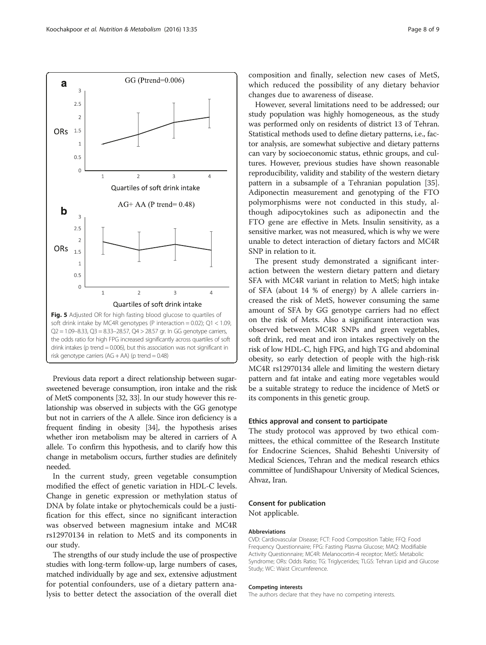<span id="page-7-0"></span>

Previous data report a direct relationship between sugarsweetened beverage consumption, iron intake and the risk of MetS components [[32](#page-8-0), [33](#page-8-0)]. In our study however this relationship was observed in subjects with the GG genotype but not in carriers of the A allele. Since iron deficiency is a frequent finding in obesity [\[34\]](#page-8-0), the hypothesis arises whether iron metabolism may be altered in carriers of A allele. To confirm this hypothesis, and to clarify how this change in metabolism occurs, further studies are definitely needed.

In the current study, green vegetable consumption modified the effect of genetic variation in HDL-C levels. Change in genetic expression or methylation status of DNA by folate intake or phytochemicals could be a justification for this effect, since no significant interaction was observed between magnesium intake and MC4R rs12970134 in relation to MetS and its components in our study.

The strengths of our study include the use of prospective studies with long-term follow-up, large numbers of cases, matched individually by age and sex, extensive adjustment for potential confounders, use of a dietary pattern analysis to better detect the association of the overall diet

composition and finally, selection new cases of MetS, which reduced the possibility of any dietary behavior changes due to awareness of disease.

However, several limitations need to be addressed; our study population was highly homogeneous, as the study was performed only on residents of district 13 of Tehran. Statistical methods used to define dietary patterns, i.e., factor analysis, are somewhat subjective and dietary patterns can vary by socioeconomic status, ethnic groups, and cultures. However, previous studies have shown reasonable reproducibility, validity and stability of the western dietary pattern in a subsample of a Tehranian population [[35](#page-8-0)]. Adiponectin measurement and genotyping of the FTO polymorphisms were not conducted in this study, although adipocytokines such as adiponectin and the FTO gene are effective in Mets. Insulin sensitivity, as a sensitive marker, was not measured, which is why we were unable to detect interaction of dietary factors and MC4R SNP in relation to it.

The present study demonstrated a significant interaction between the western dietary pattern and dietary SFA with MC4R variant in relation to MetS; high intake of SFA (about 14 % of energy) by A allele carriers increased the risk of MetS, however consuming the same amount of SFA by GG genotype carriers had no effect on the risk of Mets. Also a significant interaction was observed between MC4R SNPs and green vegetables, soft drink, red meat and iron intakes respectively on the risk of low HDL-C, high FPG, and high TG and abdominal obesity, so early detection of people with the high-risk MC4R rs12970134 allele and limiting the western dietary pattern and fat intake and eating more vegetables would be a suitable strategy to reduce the incidence of MetS or its components in this genetic group.

## Ethics approval and consent to participate

The study protocol was approved by two ethical committees, the ethical committee of the Research Institute for Endocrine Sciences, Shahid Beheshti University of Medical Sciences, Tehran and the medical research ethics committee of JundiShapour University of Medical Sciences, Ahvaz, Iran.

## Consent for publication

Not applicable.

## Abbreviations

CVD: Cardiovascular Disease; FCT: Food Composition Table; FFQ: Food Frequency Questionnaire; FPG: Fasting Plasma Glucose; MAQ: Modifiable Activity Questionnaire; MC4R: Melanocortin-4 receptor; MetS: Metabolic Syndrome; ORs: Odds Ratio; TG: Triglycerides; TLGS: Tehran Lipid and Glucose Study; WC: Waist Circumference.

#### Competing interests

The authors declare that they have no competing interests.